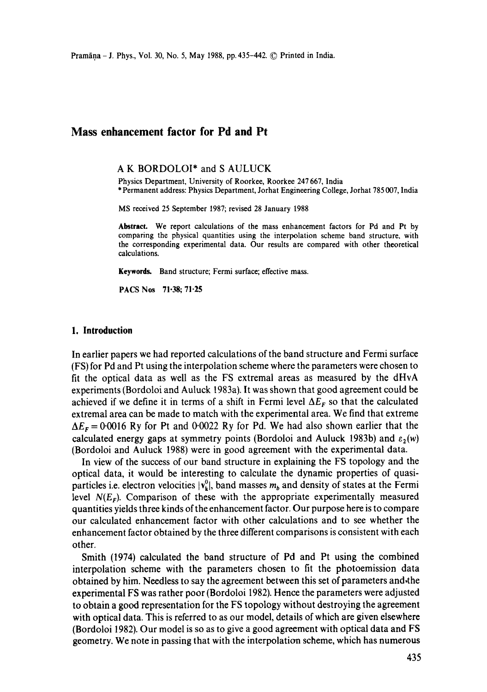# **Mass enhancement factor for Pd and Pt**

#### **A K** BORDOLOI\* and **S AULUCK**

Physics Department, University of Roorkee, Roorkee 247 667, India \* Permanent address: Physics Department, Jorhat Engineering College, Jorhat 785 007, India

MS received 25 September 1987; revised 28 January 1988

**Abstract.** We report calculations of the mass enhancement factors for Pd and Pt by comparing the physical quantities using the interpolation scheme band structure, with the corresponding experimental data. Our results are compared with other theoretical calculations.

**Keywords.** Band structure; Fermi surface; effective mass.

PACS Nos 71.38; 71.25

## **1. Introduction**

In earlier papers we had reported calculations of the band structure and Fermi surface (FS) for Pd and Pt using the interpolation scheme where the parameters were chosen to fit the optical data as well as the FS extremal areas as measured by the dHvA experiments (Bordoloi and Auluck 1983a), It was shown that good agreement could be achieved if we define it in terms of a shift in Fermi level  $\Delta E_F$  so that the calculated extremal area can be made to match with the experimental area. We find that extreme  $\Delta E_F = 0.0016$  Ry for Pt and 0.0022 Ry for Pd. We had also shown earlier that the calculated energy gaps at symmetry points (Bordoloi and Auluck 1983b) and  $\varepsilon_2(w)$ (Bordoloi and Auluck 1988) were in good agreement with the experimental data.

In view of the success of our band structure in explaining the FS topology and the optical data, it would be interesting to calculate the dynamic properties of quasiparticles i.e. electron velocities  $|v_k^0|$ , band masses  $m_b$  and density of states at the Fermi level  $N(E_F)$ . Comparison of these with the appropriate experimentally measured quantities yields three kinds of the enhancement factor. Our purpose here is to compare our calculated enhancement factor with other calculations and to see whether the enhancement factor obtained by the three different comparisons is consistent with each other.

Smith (1974) calculated the band structure of Pd and Pt using the combined interpolation scheme with the parameters chosen to fit the photoemission data obtained by him. Needless to say the agreement between this set of parameters and the experimental FS was rather poor (Bordoloi 1982). Hence the parameters were adjusted to obtain a good representation for the FS topology without destroying the agreement with optical data. This is referred to as our model, details of which are given elsewhere (Bordoloi 1982). Our model is so as to give a good agreement with optical data and FS geometry. We note in passing that with the interpolation scheme, which has numerous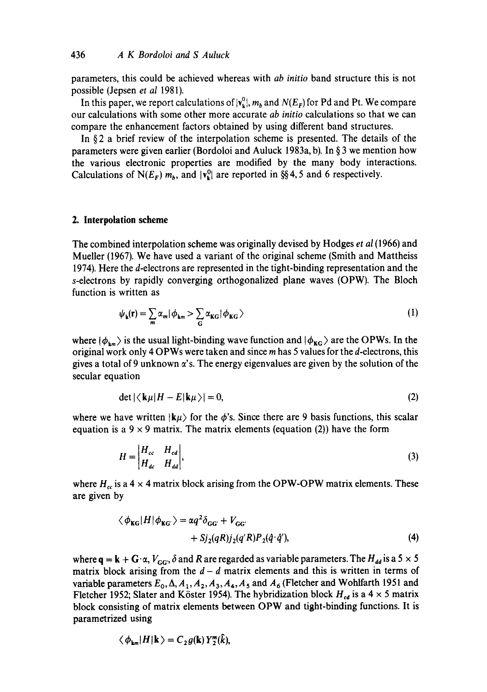parameters, this could be achieved whereas with *ab initio* band structure this is not possible (Jepsen *et al* 1981).

In this paper, we report calculations of  $|v_k^0|$ ,  $m_b$  and  $N(E_F)$  for Pd and Pt. We compare our calculations with some other more accurate *ab initio* calculations so that we can compare the enhancement factors obtained by using different band structures.

In §2 a brief review of the interpolation scheme is presented. The details of the parameters were given earlier (Bordoloi and Auluck 1983a, b). In § 3 we mention how the various electronic properties are modified by the many body interactions. Calculations of N( $E_F$ )  $m_b$ , and  $|v_k^0|$  are reported in §§4,5 and 6 respectively.

#### **2. Interpolation scheme**

The combined interpolation scheme was originally devised by Hodges *et al* (1966) and Mueller (1967). We have used a variant of the original scheme (Smith and Mattheiss 1974). Here the d-electrons are represented in the tight-binding representation and the s-electrons by rapidly converging orthogonalized plane waves (OPW). The Bloch function is written as

$$
\psi_{\mathbf{k}}(\mathbf{r}) = \sum_{m} \alpha_{m} |\phi_{\mathbf{k}m} \rangle \sum_{\mathbf{G}} \alpha_{\mathbf{KG}} |\phi_{\mathbf{KG}} \rangle \tag{1}
$$

where  $|\phi_{km}\rangle$  is the usual light-binding wave function and  $|\phi_{KG}\rangle$  are the OPWs. In the original work only 4 OPWs were taken and since m has 5 values for the d-electrons, this gives a total of 9 unknown  $\alpha$ 's. The energy eigenvalues are given by the solution of the secular equation

$$
\det |\langle \mathbf{k}\mu|H - E|\mathbf{k}\mu\rangle| = 0, \tag{2}
$$

where we have written  $\ket{k\mu}$  for the  $\phi$ 's. Since there are 9 basis functions, this scalar equation is a  $9 \times 9$  matrix. The matrix elements (equation (2)) have the form

$$
H = \begin{vmatrix} H_{cc} & H_{cd} \\ H_{dc} & H_{dd} \end{vmatrix},\tag{3}
$$

where  $H_{cc}$  is a 4  $\times$  4 matrix block arising from the OPW-OPW matrix elements. These are given by

$$
\langle \phi_{\text{KG}} | H | \phi_{\text{KG'}} \rangle = \alpha q^2 \delta_{\text{GG'}} + V_{\text{GG'}} + V_{\text{GG'}} + Sj_2(qR)j_2(q'R)P_2(\hat{q} \cdot \hat{q}'), \tag{4}
$$

where  $q = k + G \cdot \alpha$ ,  $V_{GG'}$ ,  $\delta$  and R are regarded as variable parameters. The  $H_{dd}$  is a 5  $\times$  5 matrix block arising from the  $d-d$  matrix elements and this is written in terms of variable parameters  $E_0$ ,  $\Delta$ ,  $A_1$ ,  $A_2$ ,  $A_3$ ,  $A_4$ ,  $A_5$  and  $A_6$  (Fletcher and Wohlfarth 1951 and Fletcher 1952; Slater and Köster 1954). The hybridization block  $H_{cd}$  is a 4 x 5 matrix block consisting of matrix elements between OPW and tight-binding functions. It is parametrized using

$$
\langle \phi_{km} | H | \mathbf{k} \rangle = C_2 g(\mathbf{k}) Y_2^m(\vec{k}),
$$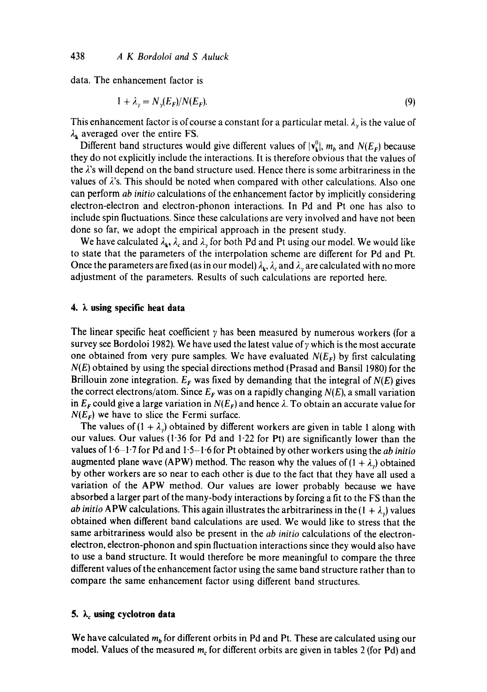data. The enhancement factor is

$$
1 + \lambda_{\gamma} = N_{\gamma}(E_F)/N(E_F). \tag{9}
$$

This enhancement factor is of course a constant for a particular metal.  $\lambda_{\gamma}$  is the value of  $\lambda_k$  averaged over the entire FS.

Different band structures would give different values of  $|v_{k}^{0}|$ ,  $m_h$  and  $N(E_F)$  because they do not explicitly include the interactions. It is therefore obvious that the values of the 2's will depend on the band structure used. Hence there is some arbitrariness in the values of  $\lambda$ 's. This should be noted when compared with other calculations. Also one can perform *ab initio* calculations of the enhancement factor by implicitly considering electron-electron and electron-phonon interactions. In Pd and Pt one has also to include spin fluctuations. Since these calculations are very involved and have not been done so far, we adopt the empirical approach in the present study.

We have calculated  $\lambda_k$ ,  $\lambda_c$  and  $\lambda<sub>y</sub>$  for both Pd and Pt using our model. We would like to state that the parameters of the interpolation scheme are different for Pd and Pt. Once the parameters are fixed (as in our model)  $\lambda_{k}$ ,  $\lambda_{c}$  and  $\lambda_{v}$  are calculated with no more adjustment of the parameters. Results of such calculations are reported here.

## **4. k using specific heat data**

The linear specific heat coefficient  $\gamma$  has been measured by numerous workers (for a survey see Bordoloi 1982). We have used the latest value of  $\gamma$  which is the most accurate one obtained from very pure samples. We have evaluated *N(Er)* by first calculating *N(E)* obtained by using the special directions method (Prasad and Bansil 1980) for the Brillouin zone integration.  $E_F$  was fixed by demanding that the integral of  $N(E)$  gives the correct electrons/atom. Since  $E_F$  was on a rapidly changing  $N(E)$ , a small variation in  $E_F$  could give a large variation in  $N(E_F)$  and hence  $\lambda$ . To obtain an accurate value for  $N(E_F)$  we have to slice the Fermi surface.

The values of  $(1 + \lambda_{y})$  obtained by different workers are given in table 1 along with our values. Our values (1.36 for Pd and 1.22 for Pt) are significantly lower than the values of  $1.6-1.7$  for Pd and  $1.5-1.6$  for Pt obtained by other workers using the *ab initio* augmented plane wave (APW) method. The reason why the values of  $(1 + \lambda)$  obtained by other workers are so near to each other is due to the fact that they have all used a variation of the APW method. Our values are lower probably because we have absorbed a larger part of the many-body interactions by forcing a fit to the FS than the *ab initio* APW calculations. This again illustrates the arbitrariness in the  $(1 + \lambda)$  values obtained when different band calculations are used. We would like to stress that the same arbitrariness would also be present in the *ab initio* calculations of the electronelectron, electron-phonon and spin fluctuation interactions since they would also have to use a band structure. It would therefore be more meaningful to compare the three different values of the enhancement factor using the same band structure rather than to compare the same enhancement factor using different band structures.

## 5.  $\lambda_c$  using cyclotron data

We have calculated  $m_b$  for different orbits in Pd and Pt. These are calculated using our model. Values of the measured  $m_c$  for different orbits are given in tables 2 (for Pd) and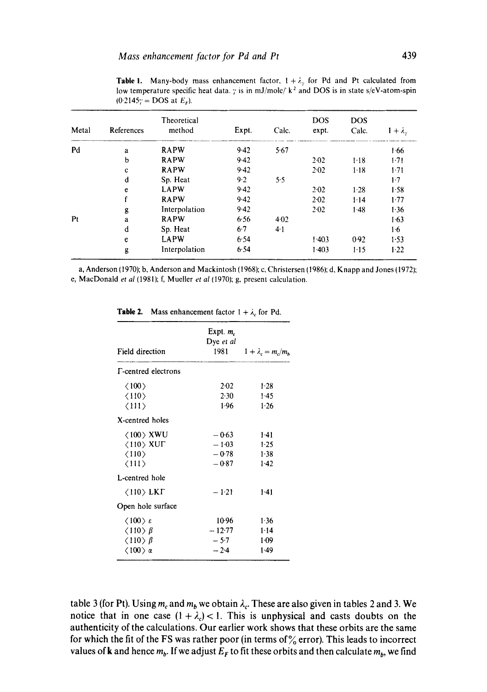| Metal          | References | Theoretical<br>method | Expt. | Calc. | <b>DOS</b><br>expt. | <b>DOS</b><br>Calc. | $1 + \lambda$ . |
|----------------|------------|-----------------------|-------|-------|---------------------|---------------------|-----------------|
| Pd             | a          | <b>RAPW</b>           | 9.42  | 5.67  |                     |                     | 1.66            |
|                | b          | <b>RAPW</b>           | 9.42  |       | $2-02$              | $1-18$              | $1-71$          |
|                | c          | <b>RAPW</b>           | 9.42  |       | $2-02$              | $1-18$              | $1-71$          |
|                | d          | Sp. Heat              | 9.2   | 5.5   |                     |                     | $1-7$           |
|                | e          | <b>LAPW</b>           | 9.42  |       | 2.02                | $1-28$              | 1.58            |
|                |            | <b>RAPW</b>           | 9.42  |       | 2.02                | 1.14                | 1.77            |
|                | g          | Interpolation         | 9.42  |       | $2 - 02$            | 1.48                | 1.36            |
| P <sub>t</sub> | a          | <b>RAPW</b>           | 6.56  | 4.02  |                     |                     | 1.63            |
|                | d          | Sp. Heat              | $6-7$ | 4.1   |                     |                     | 1.6             |
|                | e          | <b>LAPW</b>           | 6.54  |       | 1.403               | 0.92                | 1.53            |
|                | g          | Interpolation         | 6.54  |       | 1.403               | $1-15$              | 1.22            |

**Table 1.** Many-body mass enhancement factor,  $1 + \lambda$ , for Pd and Pt calculated from low temperature specific heat data.  $\gamma$  is in mJ/mole/' k<sup>2</sup> and DOS is in state s/eV-atom-spin  $(0.2145)$ <sup>2</sup> = DOS at  $E_r$ ).

a, Anderson (1970); b, Anderson and Mackintosh (1968); c, Christersen (1986); d, Knapp and Jones (1972); e, MacDonald *et al* (1981); f, Mueller *et al* (1970); g, present calculation.

| Field direction                                                                                                                   | Expt. $m_c$<br>Dye et al<br>1981         | $1 + \lambda_c = m_c/m_b$        |  |
|-----------------------------------------------------------------------------------------------------------------------------------|------------------------------------------|----------------------------------|--|
| <b>F-centred electrons</b>                                                                                                        |                                          |                                  |  |
| $\langle 100 \rangle$<br>$\langle 110 \rangle$<br>$\langle 111 \rangle$                                                           | $2-02$<br>2.30<br>1.96                   | $1-28$<br>1.45<br>1.26           |  |
| X-centred holes                                                                                                                   |                                          |                                  |  |
| $\langle 100 \rangle$ XWU<br>$\langle$ 110 $\rangle$ XUF<br>$\langle 110 \rangle$<br>$\langle 111 \rangle$                        | $-0.63$<br>$-1.03$<br>$-0.78$<br>$-0.87$ | $1-41$<br>1.25<br>1.38<br>$1-42$ |  |
| L-centred hole                                                                                                                    |                                          |                                  |  |
| $\langle 110 \rangle$ LKT<br>Open hole surface                                                                                    | $-1.21$                                  | $1 - 41$                         |  |
| $\langle 100 \rangle \varepsilon$<br>$\langle 110 \rangle \beta$<br>$\langle 110 \rangle$ $\beta$<br>$\langle 100 \rangle \alpha$ | 10.96<br>$-12.77$<br>$-5.7$<br>$-2.4$    | 1.36<br>1.14<br>$1-09$<br>1.49   |  |

**Table 2.** Mass enhancement factor  $1 + \lambda_c$  for Pd.

table 3 (for Pt). Using  $m_c$  and  $m_b$  we obtain  $\lambda_c$ . These are also given in tables 2 and 3. We notice that in one case  $(1 + \lambda_c) < 1$ . This is unphysical and casts doubts on the **authenticity of the calculations. Our earlier work shows that these orbits are the same**  for which the fit of the FS was rather poor (in terms of  $\%$  error). This leads to incorrect values of **k** and hence  $m_b$ . If we adjust  $E_F$  to fit these orbits and then calculate  $m_b$ , we find